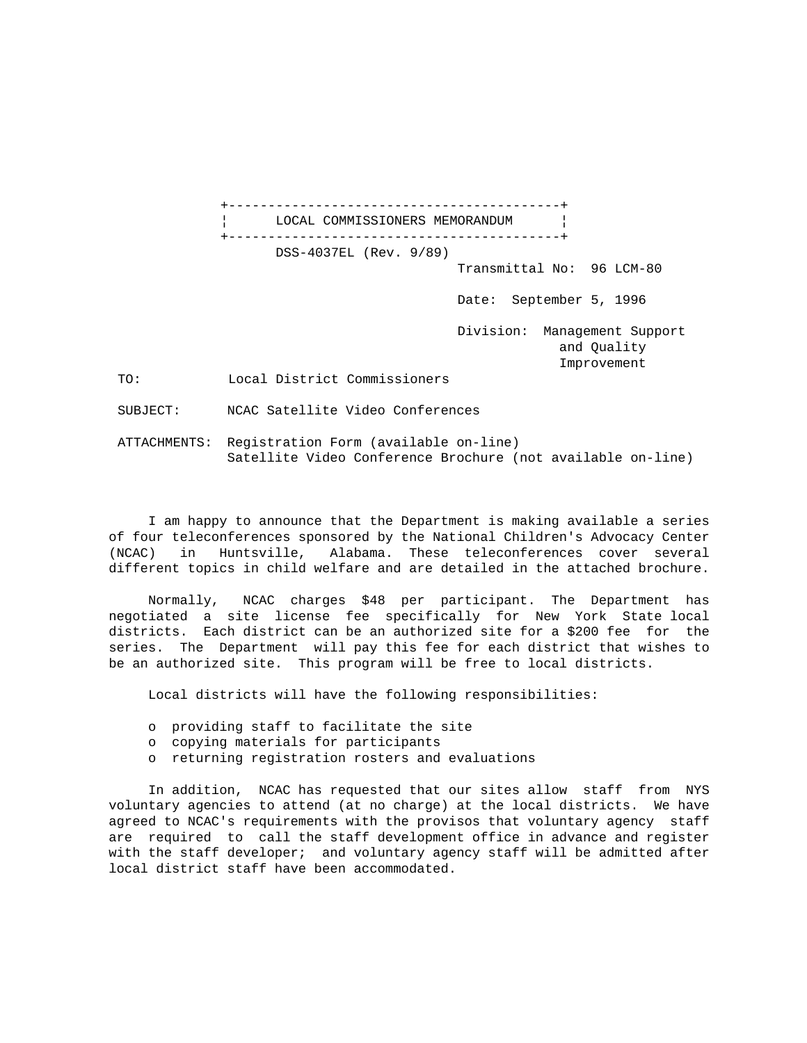+------------------------------------------+ LOCAL COMMISSIONERS MEMORANDUM +------------------------------------------+ DSS-4037EL (Rev. 9/89) Transmittal No: 96 LCM-80 Date: September 5, 1996 Division: Management Support and Quality Improvement TO: Local District Commissioners SUBJECT: NCAC Satellite Video Conferences

 ATTACHMENTS: Registration Form (available on-line) Satellite Video Conference Brochure (not available on-line)

 I am happy to announce that the Department is making available a series of four teleconferences sponsored by the National Children's Advocacy Center (NCAC) in Huntsville, Alabama. These teleconferences cover several different topics in child welfare and are detailed in the attached brochure.

 Normally, NCAC charges \$48 per participant. The Department has negotiated a site license fee specifically for New York State local districts. Each district can be an authorized site for a \$200 fee for the series. The Department will pay this fee for each district that wishes to be an authorized site. This program will be free to local districts.

Local districts will have the following responsibilities:

- o providing staff to facilitate the site
- o copying materials for participants
- o returning registration rosters and evaluations

 In addition, NCAC has requested that our sites allow staff from NYS voluntary agencies to attend (at no charge) at the local districts. We have agreed to NCAC's requirements with the provisos that voluntary agency staff are required to call the staff development office in advance and register with the staff developer; and voluntary agency staff will be admitted after local district staff have been accommodated.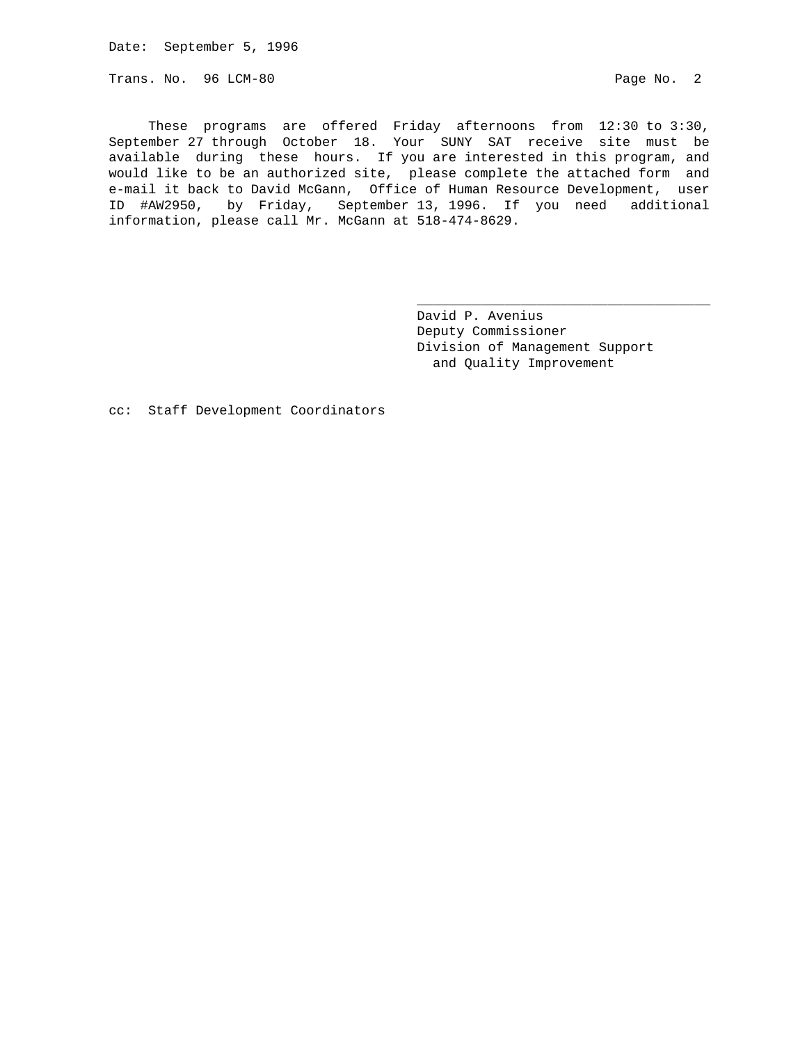Date: September 5, 1996

Trans. No. 96 LCM-80 **Page No. 2** Page No. 2

 These programs are offered Friday afternoons from 12:30 to 3:30, September 27 through October 18. Your SUNY SAT receive site must be available during these hours. If you are interested in this program, and would like to be an authorized site, please complete the attached form and e-mail it back to David McGann, Office of Human Resource Development, user ID #AW2950, by Friday, September 13, 1996. If you need additional information, please call Mr. McGann at 518-474-8629.

 $\mathcal{L}_\mathcal{L}$  , which is a set of the set of the set of the set of the set of the set of the set of the set of the set of the set of the set of the set of the set of the set of the set of the set of the set of the set of

 David P. Avenius Deputy Commissioner Division of Management Support and Quality Improvement

cc: Staff Development Coordinators